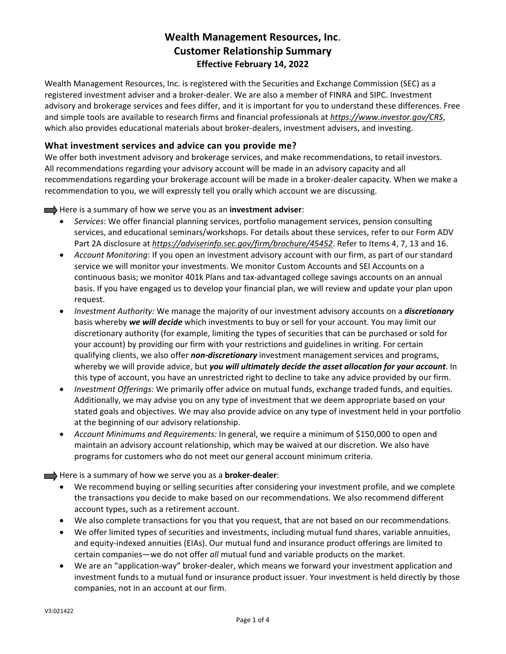# **Wealth Management Resources, Inc**. **Customer Relationship Summary Effective February 14, 2022**

Wealth Management Resources, Inc. is registered with the Securities and Exchange Commission (SEC) as a registered investment adviser and a broker‐dealer. We are also a member of FINRA and SIPC. Investment advisory and brokerage services and fees differ, and it is important for you to understand these differences. Free and simple tools are available to research firms and financial professionals at *https://www.investor.gov/CRS*, which also provides educational materials about broker-dealers, investment advisers, and investing.

### **What investment services and advice can you provide me?**

We offer both investment advisory and brokerage services, and make recommendations, to retail investors. All recommendations regarding your advisory account will be made in an advisory capacity and all recommendations regarding your brokerage account will be made in a broker‐dealer capacity. When we make a recommendation to you, we will expressly tell you orally which account we are discussing.

Here is a summary of how we serve you as an **investment adviser**:

- *Services*: We offer financial planning services, portfolio management services, pension consulting services, and educational seminars/workshops. For details about these services, refer to our Form ADV Part 2A disclosure at *https://adviserinfo.sec.gov/firm/brochure/45452*. Refer to Items 4, 7, 13 and 16.
- *Account Monitoring*: If you open an investment advisory account with our firm, as part of our standard service we will monitor your investments. We monitor Custom Accounts and SEI Accounts on a continuous basis; we monitor 401k Plans and tax-advantaged college savings accounts on an annual basis. If you have engaged us to develop your financial plan, we will review and update your plan upon request.
- *Investment Authority:* We manage the majority of our investment advisory accounts on a *discretionary* basis whereby *we will decide* which investments to buy or sell for your account. You may limit our discretionary authority (for example, limiting the types of securities that can be purchased or sold for your account) by providing our firm with your restrictions and guidelines in writing. For certain qualifying clients, we also offer *non‐discretionary* investment management services and programs, whereby we will provide advice, but *you will ultimately decide the asset allocation for your account*. In this type of account, you have an unrestricted right to decline to take any advice provided by our firm.
- *Investment Offerings:* We primarily offer advice on mutual funds, exchange traded funds, and equities. Additionally, we may advise you on any type of investment that we deem appropriate based on your stated goals and objectives. We may also provide advice on any type of investment held in your portfolio at the beginning of our advisory relationship.
- *Account Minimums and Requirements:* In general, we require a minimum of \$150,000 to open and maintain an advisory account relationship, which may be waived at our discretion. We also have programs for customers who do not meet our general account minimum criteria.

Here is a summary of how we serve you as a **broker‐dealer**:

- We recommend buying or selling securities after considering your investment profile, and we complete the transactions you decide to make based on our recommendations. We also recommend different account types, such as a retirement account.
- We also complete transactions for you that you request, that are not based on our recommendations.
- We offer limited types of securities and investments, including mutual fund shares, variable annuities, and equity‐indexed annuities (EIAs). Our mutual fund and insurance product offerings are limited to certain companies—we do not offer *all* mutual fund and variable products on the market.
- We are an "application-way" broker-dealer, which means we forward your investment application and investment funds to a mutual fund or insurance product issuer. Your investment is held directly by those companies, not in an account at our firm.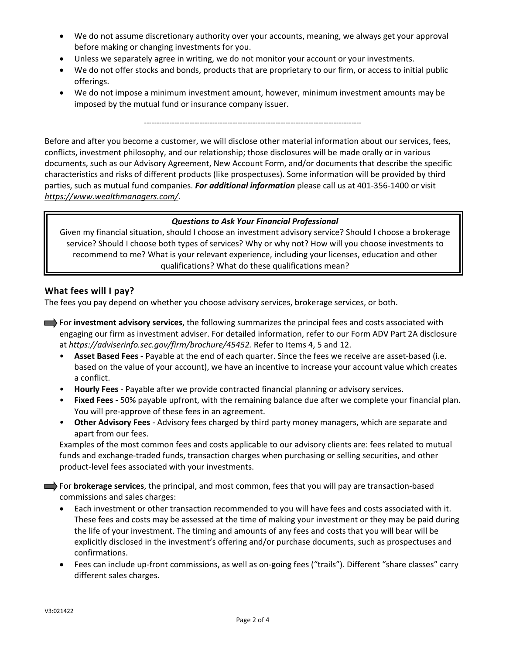- We do not assume discretionary authority over your accounts, meaning, we always get your approval before making or changing investments for you.
- Unless we separately agree in writing, we do not monitor your account or your investments.
- We do not offer stocks and bonds, products that are proprietary to our firm, or access to initial public offerings.
- We do not impose a minimum investment amount, however, minimum investment amounts may be imposed by the mutual fund or insurance company issuer.

‐‐‐‐‐‐‐‐‐‐‐‐‐‐‐‐‐‐‐‐‐‐‐‐‐‐‐‐‐‐‐‐‐‐‐‐‐‐‐‐‐‐‐‐‐‐‐‐‐‐‐‐‐‐‐‐‐‐‐‐‐‐‐‐‐‐‐‐‐‐‐‐‐‐‐‐‐‐‐‐‐‐‐‐‐‐

Before and after you become a customer, we will disclose other material information about our services, fees, conflicts, investment philosophy, and our relationship; those disclosures will be made orally or in various documents, such as our Advisory Agreement, New Account Form, and/or documents that describe the specific characteristics and risks of different products (like prospectuses). Some information will be provided by third parties, such as mutual fund companies. *For additional information* please call us at 401‐356‐1400 or visit *https://www.wealthmanagers.com/*.

#### *Questions to Ask Your Financial Professional*

Given my financial situation, should I choose an investment advisory service? Should I choose a brokerage service? Should I choose both types of services? Why or why not? How will you choose investments to recommend to me? What is your relevant experience, including your licenses, education and other qualifications? What do these qualifications mean?

#### **What fees will I pay?**

The fees you pay depend on whether you choose advisory services, brokerage services, or both.

- For **investment advisory services**, the following summarizes the principal fees and costs associated with engaging our firm as investment adviser. For detailed information, refer to our Form ADV Part 2A disclosure at *https://adviserinfo.sec.gov/firm/brochure/45452.* Refer to Items 4, 5 and 12.
	- **Asset Based Fees ‐** Payable at the end of each quarter. Since the fees we receive are asset‐based (i.e. based on the value of your account), we have an incentive to increase your account value which creates a conflict.
	- **Hourly Fees** ‐ Payable after we provide contracted financial planning or advisory services.
	- **Fixed Fees ‐** 50% payable upfront, with the remaining balance due after we complete your financial plan. You will pre‐approve of these fees in an agreement.
	- **Other Advisory Fees** ‐ Advisory fees charged by third party money managers, which are separate and apart from our fees.

Examples of the most common fees and costs applicable to our advisory clients are: fees related to mutual funds and exchange‐traded funds, transaction charges when purchasing or selling securities, and other product‐level fees associated with your investments.

For **brokerage services**, the principal, and most common, fees that you will pay are transaction-based commissions and sales charges:

- Each investment or other transaction recommended to you will have fees and costs associated with it. These fees and costs may be assessed at the time of making your investment or they may be paid during the life of your investment. The timing and amounts of any fees and costs that you will bear will be explicitly disclosed in the investment's offering and/or purchase documents, such as prospectuses and confirmations.
- Fees can include up‐front commissions, as well as on‐going fees ("trails"). Different "share classes" carry different sales charges.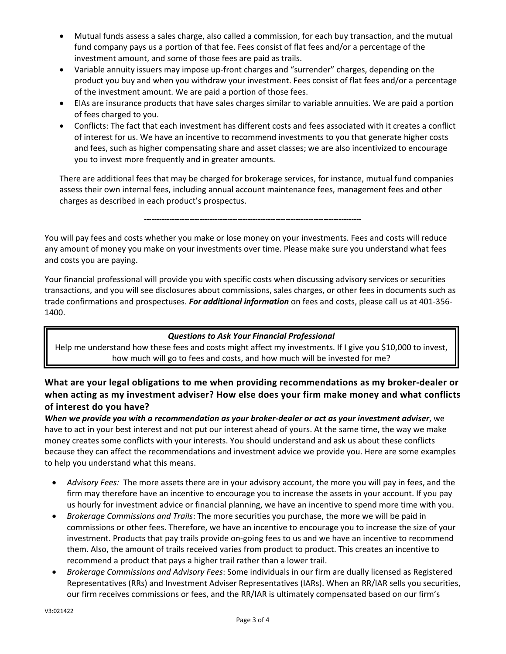- Mutual funds assess a sales charge, also called a commission, for each buy transaction, and the mutual fund company pays us a portion of that fee. Fees consist of flat fees and/or a percentage of the investment amount, and some of those fees are paid as trails.
- Variable annuity issuers may impose up‐front charges and "surrender" charges, depending on the product you buy and when you withdraw your investment. Fees consist of flat fees and/or a percentage of the investment amount. We are paid a portion of those fees.
- EIAs are insurance products that have sales charges similar to variable annuities. We are paid a portion of fees charged to you.
- Conflicts: The fact that each investment has different costs and fees associated with it creates a conflict of interest for us. We have an incentive to recommend investments to you that generate higher costs and fees, such as higher compensating share and asset classes; we are also incentivized to encourage you to invest more frequently and in greater amounts.

There are additional fees that may be charged for brokerage services, for instance, mutual fund companies assess their own internal fees, including annual account maintenance fees, management fees and other charges as described in each product's prospectus.

**‐‐‐‐‐‐‐‐‐‐‐‐‐‐‐‐‐‐‐‐‐‐‐‐‐‐‐‐‐‐‐‐‐‐‐‐‐‐‐‐‐‐‐‐‐‐‐‐‐‐‐‐‐‐‐‐‐‐‐‐‐‐‐‐‐‐‐‐‐‐‐‐‐‐‐‐‐‐‐‐‐‐‐‐‐‐**

You will pay fees and costs whether you make or lose money on your investments. Fees and costs will reduce any amount of money you make on your investments over time. Please make sure you understand what fees and costs you are paying.

Your financial professional will provide you with specific costs when discussing advisory services or securities transactions, and you will see disclosures about commissions, sales charges, or other fees in documents such as trade confirmations and prospectuses. *For additional information* on fees and costs, please call us at 401‐356‐ 1400.

#### *Questions to Ask Your Financial Professional*

Help me understand how these fees and costs might affect my investments. If I give you \$10,000 to invest, how much will go to fees and costs, and how much will be invested for me?

## **What are your legal obligations to me when providing recommendations as my broker‐dealer or when acting as my investment adviser? How else does your firm make money and what conflicts of interest do you have?**

When we provide you with a recommendation as your broker-dealer or act as your investment adviser, we have to act in your best interest and not put our interest ahead of yours. At the same time, the way we make money creates some conflicts with your interests. You should understand and ask us about these conflicts because they can affect the recommendations and investment advice we provide you. Here are some examples to help you understand what this means.

- *Advisory Fees:* The more assets there are in your advisory account, the more you will pay in fees, and the firm may therefore have an incentive to encourage you to increase the assets in your account. If you pay us hourly for investment advice or financial planning, we have an incentive to spend more time with you.
- *Brokerage Commissions and Trails*: The more securities you purchase, the more we will be paid in commissions or other fees. Therefore, we have an incentive to encourage you to increase the size of your investment. Products that pay trails provide on‐going fees to us and we have an incentive to recommend them. Also, the amount of trails received varies from product to product. This creates an incentive to recommend a product that pays a higher trail rather than a lower trail.
- *Brokerage Commissions and Advisory Fees*: Some individuals in our firm are dually licensed as Registered Representatives (RRs) and Investment Adviser Representatives (IARs). When an RR/IAR sells you securities, our firm receives commissions or fees, and the RR/IAR is ultimately compensated based on our firm's